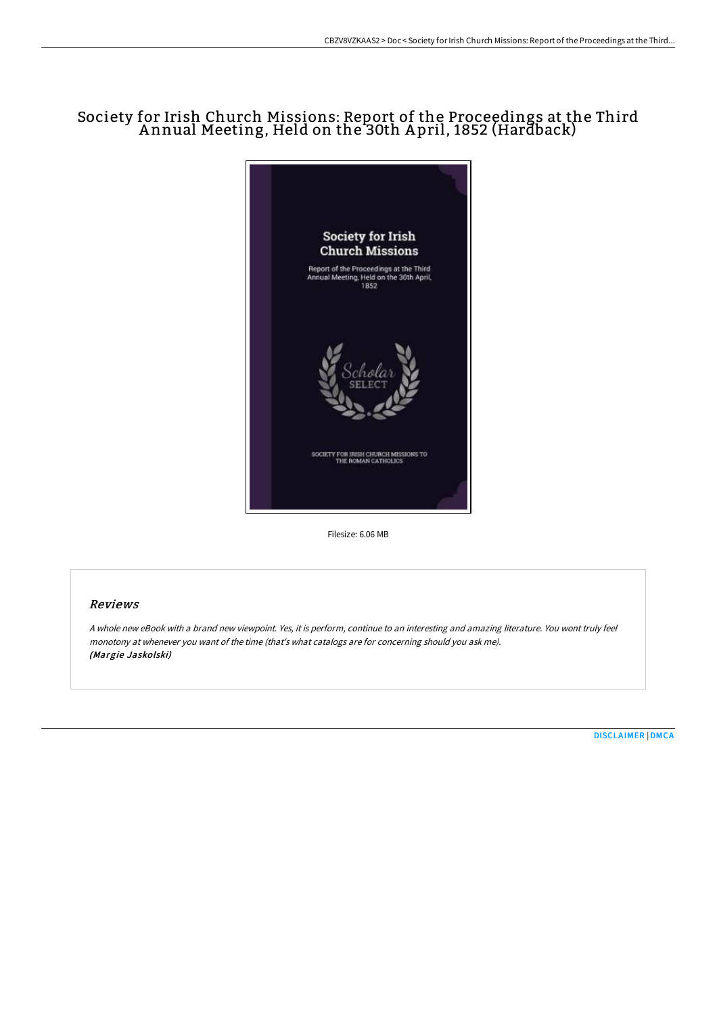## Society for Irish Church Missions: Report of the Proceedings at the Third A nnual Meeting, Held on the 30th A pril, 1852 (Hardback)



Filesize: 6.06 MB

## Reviews

<sup>A</sup> whole new eBook with <sup>a</sup> brand new viewpoint. Yes, it is perform, continue to an interesting and amazing literature. You wont truly feel monotony at whenever you want of the time (that's what catalogs are for concerning should you ask me). (Margie Jaskolski)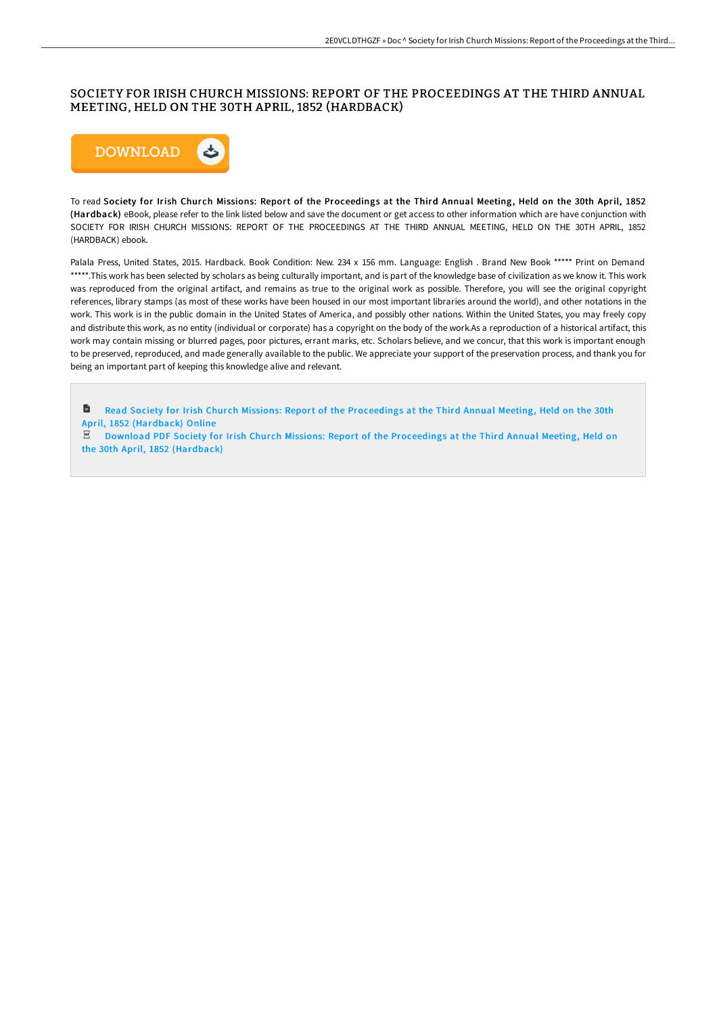## SOCIETY FOR IRISH CHURCH MISSIONS: REPORT OF THE PROCEEDINGS AT THE THIRD ANNUAL MEETING, HELD ON THE 30TH APRIL, 1852 (HARDBACK)



To read Society for Irish Church Missions: Report of the Proceedings at the Third Annual Meeting, Held on the 30th April, 1852 (Hardback) eBook, please refer to the link listed below and save the document or get access to other information which are have conjunction with SOCIETY FOR IRISH CHURCH MISSIONS: REPORT OF THE PROCEEDINGS AT THE THIRD ANNUAL MEETING, HELD ON THE 30TH APRIL, 1852 (HARDBACK) ebook.

Palala Press, United States, 2015. Hardback. Book Condition: New. 234 x 156 mm. Language: English . Brand New Book \*\*\*\*\* Print on Demand \*\*\*\*\*.This work has been selected by scholars as being culturally important, and is part of the knowledge base of civilization as we know it. This work was reproduced from the original artifact, and remains as true to the original work as possible. Therefore, you will see the original copyright references, library stamps (as most of these works have been housed in our most important libraries around the world), and other notations in the work. This work is in the public domain in the United States of America, and possibly other nations. Within the United States, you may freely copy and distribute this work, as no entity (individual or corporate) has a copyright on the body of the work.As a reproduction of a historical artifact, this work may contain missing or blurred pages, poor pictures, errant marks, etc. Scholars believe, and we concur, that this work is important enough to be preserved, reproduced, and made generally available to the public. We appreciate your support of the preservation process, and thank you for being an important part of keeping this knowledge alive and relevant.

D Read Society for Irish Church Missions: Report of the [Proceedings](http://techno-pub.tech/society-for-irish-church-missions-report-of-the--1.html) at the Third Annual Meeting, Held on the 30th April, 1852 (Hardback) Online

 $E$  Download PDF Society for Irish Church Missions: Report of the [Proceedings](http://techno-pub.tech/society-for-irish-church-missions-report-of-the--1.html) at the Third Annual Meeting, Held on the 30th April, 1852 (Hardback)